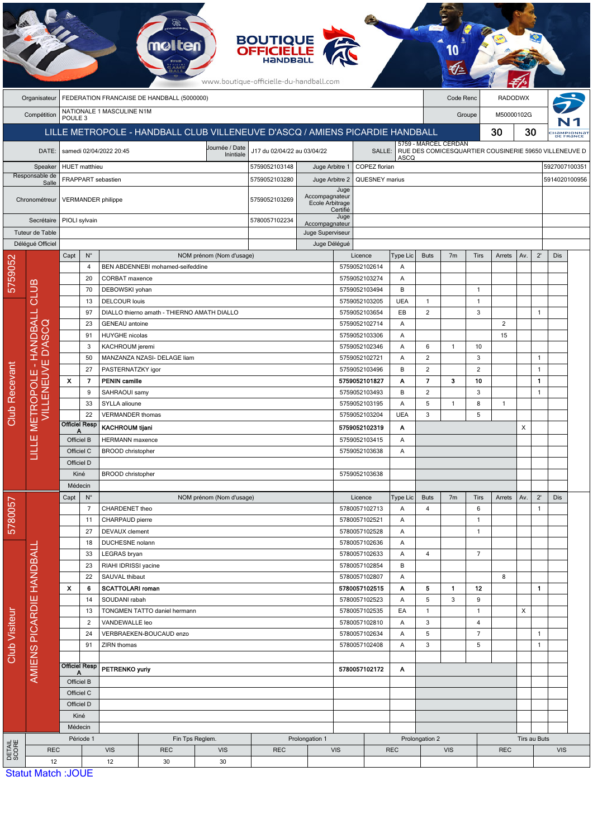|                         |                          |                                                  |                                         |                                        | mølten                                      |                                                                              | <b>BOUTIQUE<br/>OFFICIELLE</b><br>www.boutique-officielle-du-handball.com |                                 |                                |                                 |                |                      |                |                |                |                |                          |                                                                |
|-------------------------|--------------------------|--------------------------------------------------|-----------------------------------------|----------------------------------------|---------------------------------------------|------------------------------------------------------------------------------|---------------------------------------------------------------------------|---------------------------------|--------------------------------|---------------------------------|----------------|----------------------|----------------|----------------|----------------|----------------|--------------------------|----------------------------------------------------------------|
|                         | Organisateur             | FEDERATION FRANCAISE DE HANDBALL (5000000)       |                                         |                                        |                                             |                                                                              |                                                                           |                                 |                                |                                 |                |                      | Code Renc      |                |                | <b>RADODWX</b> |                          |                                                                |
|                         | Compétition              | NATIONALE 1 MASCULINE N1M<br>POULE <sub>3</sub>  |                                         |                                        |                                             |                                                                              |                                                                           |                                 |                                |                                 |                |                      | Groupe         |                |                | M50000102G     |                          |                                                                |
|                         |                          |                                                  |                                         |                                        |                                             | LILLE METROPOLE - HANDBALL CLUB VILLENEUVE D'ASCQ / AMIENS PICARDIE HANDBALL |                                                                           |                                 |                                |                                 |                |                      |                | 30             | 30             |                |                          |                                                                |
|                         |                          |                                                  |                                         |                                        |                                             |                                                                              |                                                                           |                                 |                                |                                 |                | 5759 - MARCEL CERDAN |                |                |                |                | CHAMPIONNAT<br>DE FRANCE |                                                                |
|                         | DATE:                    |                                                  |                                         | samedi 02/04/2022 20:45                |                                             | Journée / Date<br>Inintiale                                                  | J17 du 02/04/22 au 03/04/22                                               |                                 |                                |                                 | <b>ASCQ</b>    |                      |                |                |                |                |                          | SALLE:   RUE DES COMICESQUARTIER COUSINERIE 59650 VILLENEUVE D |
| Speaker                 |                          |                                                  | <b>HUET</b> matthieu                    |                                        |                                             |                                                                              | 5759052103148                                                             | COPEZ florian<br>Juge Arbitre 1 |                                |                                 |                |                      |                |                |                |                |                          | 5927007100351                                                  |
| Responsable de<br>Salle |                          |                                                  |                                         | FRAPPART sebastien                     |                                             |                                                                              | 5759052103280                                                             | Juge Arbitre 2                  |                                | QUESNEY marius<br>5914020100956 |                |                      |                |                |                |                |                          |                                                                |
| Chronométreur           |                          |                                                  |                                         | <b>VERMANDER philippe</b>              |                                             | Accompagnateur<br>5759052103269<br>Ecole Arbitrage                           |                                                                           |                                 | Juge<br>Certifié               |                                 |                |                      |                |                |                |                |                          |                                                                |
| Secrétaire              |                          | PIOLI sylvain                                    |                                         |                                        |                                             | 5780057102234<br>Accompagnateur                                              |                                                                           |                                 | Juge                           |                                 |                |                      |                |                |                |                |                          |                                                                |
| Tuteur de Table         |                          |                                                  |                                         |                                        |                                             |                                                                              |                                                                           | Juge Superviseur                |                                |                                 |                |                      |                |                |                |                |                          |                                                                |
|                         | Délégué Officiel         |                                                  |                                         |                                        |                                             |                                                                              |                                                                           | Juge Délégué                    |                                |                                 |                |                      |                |                |                |                |                          |                                                                |
|                         |                          | Capt                                             | $N^{\circ}$                             |                                        |                                             | NOM prénom (Nom d'usage)                                                     |                                                                           |                                 | Licence                        |                                 | Type Lic       | <b>Buts</b>          | 7 <sub>m</sub> | Tirs           | Arrets         | Av.            | $2^{\prime}$             | Dis                                                            |
| 5759052                 |                          |                                                  | 4                                       |                                        | BEN ABDENNEBI mohamed-seifeddine            |                                                                              |                                                                           |                                 | 5759052102614                  |                                 | Α              |                      |                |                |                |                |                          |                                                                |
|                         |                          |                                                  | 20<br>70                                | CORBAT maxence<br>DEBOWSKI yohan       |                                             |                                                                              |                                                                           |                                 | 5759052103274<br>5759052103494 |                                 | Α<br>B         |                      |                | $\mathbf{1}$   |                |                |                          |                                                                |
|                         | CLUB                     |                                                  | 13                                      | <b>DELCOUR louis</b>                   |                                             |                                                                              |                                                                           |                                 | 5759052103205                  |                                 | <b>UEA</b>     | $\mathbf{1}$         |                | $\mathbf{1}$   |                |                |                          |                                                                |
|                         |                          | 97<br>23<br>91<br>3                              |                                         |                                        | DIALLO thierno amath - THIERNO AMATH DIALLO |                                                                              |                                                                           |                                 | 5759052103654                  |                                 | EB             | $\overline{2}$       |                | 3              |                |                | 1                        |                                                                |
|                         | HANDBALL                 |                                                  |                                         | <b>GENEAU</b> antoine                  |                                             |                                                                              |                                                                           |                                 | 5759052102714                  |                                 | Α              |                      |                |                | $\overline{2}$ |                |                          |                                                                |
|                         |                          |                                                  |                                         | HUYGHE nicolas                         |                                             |                                                                              |                                                                           |                                 | 5759052103306                  |                                 | Α              |                      |                |                | 15             |                |                          |                                                                |
|                         | <b>D'ASCQ</b>            |                                                  |                                         |                                        | KACHROUM jeremi                             |                                                                              |                                                                           |                                 |                                | 5759052102346                   |                | 6                    | $\mathbf{1}$   | 10             |                |                |                          |                                                                |
|                         | ш                        |                                                  | 50                                      |                                        | MANZANZA NZASI- DELAGE liam                 |                                                                              |                                                                           |                                 | 5759052102721                  |                                 | Α              | $\overline{2}$       |                | 3              |                |                | $\mathbf{1}$             |                                                                |
|                         | ш                        |                                                  | 27                                      | PASTERNATZKY igor                      |                                             |                                                                              |                                                                           | 5759052103496                   |                                | B                               | $\overline{c}$ |                      | $\overline{2}$ |                |                | $\mathbf{1}$   |                          |                                                                |
|                         | VILLENEUV<br>ETROPOL     | $\mathbf x$                                      | $\overline{7}$                          | <b>PENIN</b> camille                   |                                             |                                                                              |                                                                           |                                 | 5759052101827                  |                                 | Α              | $\overline{7}$       | з              | 10             |                |                | 1.                       |                                                                |
|                         |                          |                                                  | 9                                       | SAHRAOUI samy                          |                                             |                                                                              |                                                                           |                                 | 5759052103493                  |                                 | B              | $\overline{c}$       |                | 3              |                |                | 1                        |                                                                |
|                         |                          |                                                  | 33                                      | SYLLA alioune                          |                                             |                                                                              |                                                                           |                                 | 5759052103195                  |                                 | Α              | 5                    | $\mathbf{1}$   | 8              | $\mathbf{1}$   |                |                          |                                                                |
| Club Recevant           |                          |                                                  | 22<br><b>Officiel Resp</b>              | <b>VERMANDER thomas</b>                |                                             |                                                                              |                                                                           |                                 | 5759052103204                  |                                 | <b>UEA</b>     | 3                    |                | 5              |                |                |                          |                                                                |
|                         | Σ<br>ш<br>글<br>Щ         |                                                  |                                         | <b>KACHROUM tijani</b>                 |                                             |                                                                              |                                                                           |                                 | 5759052102319                  |                                 | Α              |                      |                |                |                | X              |                          |                                                                |
|                         |                          | Officiel B                                       |                                         | <b>HERMANN</b> maxence                 |                                             |                                                                              |                                                                           |                                 |                                | 5759052103415<br>Α              |                |                      |                |                |                |                |                          |                                                                |
|                         |                          | Officiel C<br>Officiel D                         |                                         | <b>BROOD</b> christopher               |                                             |                                                                              |                                                                           |                                 | 5759052103638<br>Α             |                                 |                |                      |                |                |                |                |                          |                                                                |
|                         |                          | Kiné                                             |                                         | <b>BROOD</b> christopher               |                                             |                                                                              |                                                                           |                                 | 5759052103638                  |                                 |                |                      |                |                |                |                |                          |                                                                |
|                         |                          | Médecin                                          |                                         |                                        |                                             |                                                                              |                                                                           |                                 |                                |                                 |                |                      |                |                |                |                |                          |                                                                |
|                         |                          | $\mathsf{N}^\circ$<br>Capt                       |                                         |                                        |                                             | NOM prénom (Nom d'usage)                                                     |                                                                           |                                 | Licence                        |                                 | Type Lic       | <b>Buts</b>          | 7m             | Tirs           | Arrets         | Av.            | $2^{\prime}$             | Dis                                                            |
| 5780057                 |                          |                                                  | $\overline{7}$                          | CHARDENET theo                         |                                             |                                                                              |                                                                           |                                 | 5780057102713                  |                                 | Α              | 4                    |                | 6              |                |                | 1                        |                                                                |
|                         |                          |                                                  | 11                                      |                                        | CHARPAUD pierre                             |                                                                              |                                                                           | 5780057102521                   |                                | Α                               |                |                      | $\mathbf{1}$   |                |                |                |                          |                                                                |
|                         |                          |                                                  | 27                                      |                                        | DEVAUX clement                              |                                                                              |                                                                           |                                 | 5780057102528                  |                                 | Α              |                      |                | $\mathbf{1}$   |                |                |                          |                                                                |
|                         |                          |                                                  | 18                                      | DUCHESNE nolann                        |                                             |                                                                              |                                                                           |                                 | 5780057102636                  |                                 | Α              |                      |                |                |                |                |                          |                                                                |
|                         |                          | 33<br>23<br>22<br>$\boldsymbol{\mathsf{x}}$<br>6 |                                         | LEGRAS bryan                           |                                             |                                                                              |                                                                           |                                 | 5780057102633                  |                                 | Α              | 4                    |                | $\overline{7}$ |                |                |                          |                                                                |
|                         |                          |                                                  |                                         | RIAHI IDRISSI yacine<br>SAUVAL thibaut |                                             |                                                                              |                                                                           |                                 | 5780057102854<br>5780057102807 |                                 | B<br>Α         |                      |                |                | 8              |                |                          |                                                                |
|                         |                          |                                                  |                                         | <b>SCATTOLARI</b> roman                |                                             |                                                                              |                                                                           |                                 | 5780057102515                  |                                 | Α              | 5                    | $\mathbf{1}$   | 12             |                |                | 1.                       |                                                                |
|                         | AMIENS PICARDIE HANDBALI |                                                  | 14<br>SOUDANI rabah                     |                                        |                                             |                                                                              | 5780057102523                                                             |                                 | Α                              | 5                               | 3              | 9                    |                |                |                |                |                          |                                                                |
|                         |                          |                                                  | TONGMEN TATTO daniel hermann<br>13      |                                        |                                             | 5780057102535                                                                |                                                                           | EA                              | $\mathbf{1}$                   |                                 | $\mathbf{1}$   |                      | X              |                |                |                |                          |                                                                |
|                         |                          |                                                  | $\overline{2}$<br>VANDEWALLE leo        |                                        |                                             | 5780057102810                                                                |                                                                           | Α                               | 3                              |                                 | 4              |                      |                |                |                |                |                          |                                                                |
| <b>Club Visiteur</b>    |                          |                                                  | 24                                      |                                        | VERBRAEKEN-BOUCAUD enzo                     |                                                                              |                                                                           |                                 | 5780057102634                  |                                 | Α              | 5                    |                | $\overline{7}$ |                |                | 1                        |                                                                |
|                         |                          |                                                  | 91                                      | ZIRN thomas                            |                                             |                                                                              |                                                                           |                                 | 5780057102408                  |                                 | Α              | 3                    |                | 5              |                |                | 1                        |                                                                |
|                         |                          |                                                  |                                         |                                        |                                             |                                                                              |                                                                           |                                 |                                |                                 |                |                      |                |                |                |                |                          |                                                                |
|                         |                          | <b>Officiel Resp</b><br>Officiel B               |                                         | PETRENKO yuriy                         |                                             |                                                                              |                                                                           |                                 | 5780057102172                  |                                 | Α              |                      |                |                |                |                |                          |                                                                |
|                         |                          |                                                  |                                         |                                        |                                             |                                                                              |                                                                           |                                 |                                |                                 |                |                      |                |                |                |                |                          |                                                                |
|                         |                          |                                                  | Officiel C                              |                                        |                                             |                                                                              |                                                                           |                                 |                                |                                 |                |                      |                |                |                |                |                          |                                                                |
|                         |                          |                                                  | Officiel D                              |                                        |                                             |                                                                              |                                                                           |                                 |                                |                                 |                |                      |                |                |                |                |                          |                                                                |
|                         |                          |                                                  | Kiné                                    |                                        |                                             |                                                                              |                                                                           |                                 |                                |                                 |                |                      |                |                |                |                |                          |                                                                |
|                         |                          |                                                  | Médecin<br>Période 1<br>Fin Tps Reglem. |                                        |                                             |                                                                              |                                                                           | Prolongation 1                  |                                |                                 |                | Prolongation 2       |                |                |                |                | Tirs au Buts             |                                                                |
| DETAIL<br>SCORE         | <b>REC</b>               |                                                  |                                         | <b>VIS</b>                             | <b>REC</b>                                  | <b>VIS</b>                                                                   | <b>REC</b>                                                                | <b>VIS</b>                      |                                |                                 | <b>REC</b>     |                      | <b>VIS</b>     |                | <b>REC</b>     |                |                          | <b>VIS</b>                                                     |
|                         | 12                       |                                                  |                                         | 12<br>30<br>30                         |                                             |                                                                              |                                                                           |                                 |                                |                                 |                |                      |                |                |                |                |                          |                                                                |
|                         | $C_{total}$ Match        | 1011                                             |                                         |                                        |                                             |                                                                              |                                                                           |                                 |                                |                                 |                |                      |                |                |                |                |                          |                                                                |

 $\overline{\phantom{0}}$ 

Z

**Statut Match: JOUE**